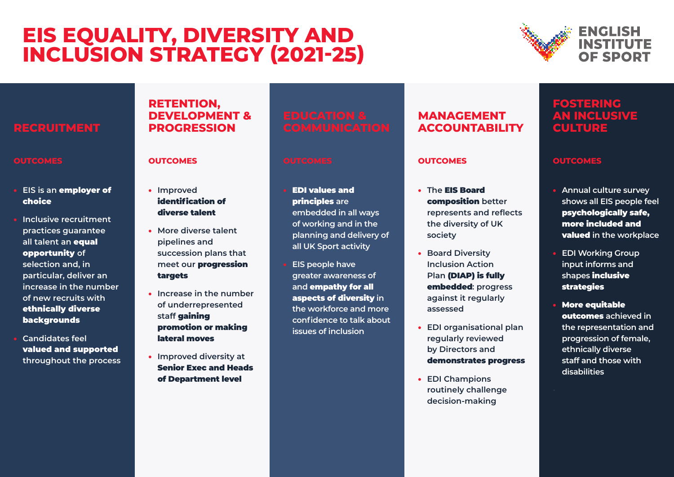# **EIS EQUALITY, DIVERSITY AND INCLUSION STRATEGY (2021-25)**



# **RECRUITMENT**

#### **OUTCOMES**

- **EIS is an** employer of choice
- **Inclusive recruitment practices guarantee all talent an** equal opportunity **of selection and, in particular, deliver an increase in the number of new recruits with** ethnically diverse backgrounds
- **Candidates feel**  valued and supported **throughout the process**

## **RETENTION, DEVELOPMENT & PROGRESSION**

#### **OUTCOMES**

- **Improved**  identification of diverse talent
- **More diverse talent pipelines and succession plans that meet our** progression targets
- **Increase in the number of underrepresented staff** gaining promotion or making lateral moves
- **Improved diversity at**  Senior Exec and Heads of Department level

- EDI values and principles **are embedded in all ways of working and in the planning and delivery of all UK Sport activity**
- **EIS people have greater awareness of and** empathy for all aspects of diversity **in the workforce and more confidence to talk about issues of inclusion**

# **MANAGEMENT ACCOUNTABILITY**

#### **OUTCOMES**

- **The** EIS Board composition **better represents and reflects the diversity of UK society**
- **Board Diversity Inclusion Action Plan (DIAP) is fully** embedded**: progress against it regularly assessed**
- **EDI organisational plan regularly reviewed by Directors and**  demonstrates progress
- **EDI Champions routinely challenge decision-making**

# **FOSTERING AN INCLUSIVE CULTURE**

### **OUTCOMES**

- **Annual culture survey shows all EIS people feel**  psychologically safe, more included and valued **in the workplace**
- **EDI Working Group input informs and shapes** inclusive strategies
- More equitable outcomes **achieved in the representation and progression of female, ethnically diverse staff and those with disabilities**